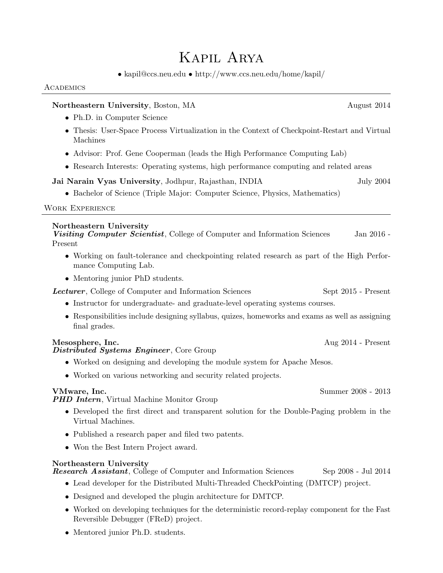# Kapil Arya

• [kapil@ccs.neu.edu](mailto:kapil@ccs.neu.edu) • <http://www.ccs.neu.edu/home/kapil/>

#### **ACADEMICS**

## Northeastern University, Boston, MA August 2014 • Ph.D. in Computer Science • Thesis: User-Space Process Virtualization in the Context of Checkpoint-Restart and Virtual Machines • Advisor: Prof. Gene Cooperman (leads the High Performance Computing Lab) • Research Interests: Operating systems, high performance computing and related areas Jai Narain Vyas University, Jodhpur, Rajasthan, INDIA July 2004 • Bachelor of Science (Triple Major: Computer Science, Physics, Mathematics) Work Experience Northeastern University Visiting Computer Scientist, College of Computer and Information Sciences Jan 2016 -Present • Working on fault-tolerance and checkpointing related research as part of the High Performance Computing Lab. • Mentoring junior PhD students. **Lecturer**, College of Computer and Information Sciences Sept 2015 - Present • Instructor for undergraduate- and graduate-level operating systems courses. • Responsibilities include designing syllabus, quizes, homeworks and exams as well as assigning final grades. Mesosphere, Inc. **Aug 2014** - Present Distributed Systems Engineer, Core Group • Worked on designing and developing the module system for Apache Mesos. • Worked on various networking and security related projects. VMware, Inc. Summer 2008 - 2013 PHD Intern, Virtual Machine Monitor Group • Developed the first direct and transparent solution for the Double-Paging problem in the Virtual Machines. • Published a research paper and filed two patents. • Won the Best Intern Project award. Northeastern University Research Assistant, College of Computer and Information Sciences Sep 2008 - Jul 2014 • Lead developer for the Distributed Multi-Threaded CheckPointing (DMTCP) project. • Designed and developed the plugin architecture for DMTCP.

- Worked on developing techniques for the deterministic record-replay component for the Fast Reversible Debugger (FReD) project.
- Mentored junior Ph.D. students.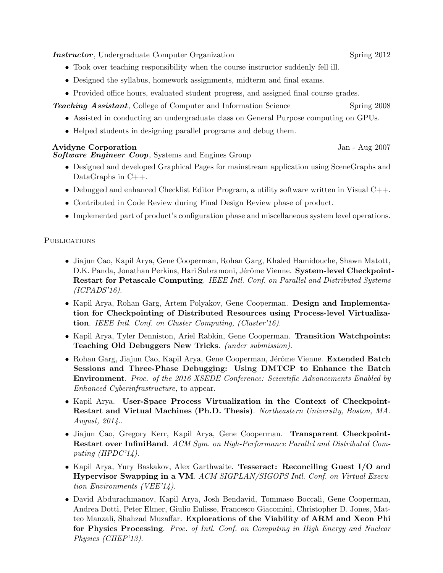**Instructor**, Undergraduate Computer Organization Spring 2012

- Took over teaching responsibility when the course instructor suddenly fell ill.
- Designed the syllabus, homework assignments, midterm and final exams.
- Provided office hours, evaluated student progress, and assigned final course grades.

**Teaching Assistant**, College of Computer and Information Science Spring 2008

- Assisted in conducting an undergraduate class on General Purpose computing on GPUs.
- Helped students in designing parallel programs and debug them.

#### Avidyne Corporation Jan - Aug 2007

Software Engineer Coop, Systems and Engines Group

- Designed and developed Graphical Pages for mainstream application using SceneGraphs and DataGraphs in C++.
- Debugged and enhanced Checklist Editor Program, a utility software written in Visual C++.
- Contributed in Code Review during Final Design Review phase of product.
- Implemented part of product's configuration phase and miscellaneous system level operations.

#### **PUBLICATIONS**

- Jiajun Cao, Kapil Arya, Gene Cooperman, Rohan Garg, Khaled Hamidouche, Shawn Matott, D.K. Panda, Jonathan Perkins, Hari Subramoni, Jérôme Vienne. System-level Checkpoint-Restart for Petascale Computing. IEEE Intl. Conf. on Parallel and Distributed Systems (ICPADS'16).
- Kapil Arya, Rohan Garg, Artem Polyakov, Gene Cooperman. Design and Implementation for Checkpointing of Distributed Resources using Process-level Virtualization. IEEE Intl. Conf. on Cluster Computing, (Cluster'16).
- Kapil Arya, Tyler Denniston, Ariel Rabkin, Gene Cooperman. Transition Watchpoints: Teaching Old Debuggers New Tricks. (under submission).
- Rohan Garg, Jiajun Cao, Kapil Arya, Gene Cooperman, Jérôme Vienne. Extended Batch Sessions and Three-Phase Debugging: Using DMTCP to Enhance the Batch Environment. Proc. of the 2016 XSEDE Conference: Scientific Advancements Enabled by Enhanced Cyberinfrastructure, to appear.
- Kapil Arya. User-Space Process Virtualization in the Context of Checkpoint-Restart and Virtual Machines (Ph.D. Thesis). Northeastern University, Boston, MA. August, 2014..
- Jiajun Cao, Gregory Kerr, Kapil Arya, Gene Cooperman. Transparent Checkpoint-Restart over InfiniBand. ACM Sym. on High-Performance Parallel and Distributed Computing (HPDC'14).
- Kapil Arya, Yury Baskakov, Alex Garthwaite. Tesseract: Reconciling Guest I/O and Hypervisor Swapping in a VM. ACM SIGPLAN/SIGOPS Intl. Conf. on Virtual Execution Environments (VEE'14).
- David Abdurachmanov, Kapil Arya, Josh Bendavid, Tommaso Boccali, Gene Cooperman, Andrea Dotti, Peter Elmer, Giulio Eulisse, Francesco Giacomini, Christopher D. Jones, Matteo Manzali, Shahzad Muzaffar. Explorations of the Viability of ARM and Xeon Phi for Physics Processing. Proc. of Intl. Conf. on Computing in High Energy and Nuclear Physics (CHEP'13).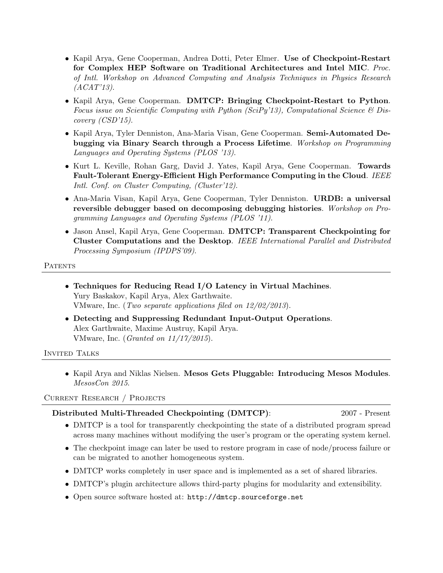- Kapil Arya, Gene Cooperman, Andrea Dotti, Peter Elmer. Use of Checkpoint-Restart for Complex HEP Software on Traditional Architectures and Intel MIC. Proc. of Intl. Workshop on Advanced Computing and Analysis Techniques in Physics Research  $(ACAT'13).$
- Kapil Arya, Gene Cooperman. DMTCP: Bringing Checkpoint-Restart to Python. Focus issue on Scientific Computing with Python (SciPy'13), Computational Science  $\mathcal B$  Discovery (CSD'15).
- Kapil Arya, Tyler Denniston, Ana-Maria Visan, Gene Cooperman. Semi-Automated Debugging via Binary Search through a Process Lifetime. Workshop on Programming Languages and Operating Systems (PLOS '13).
- Kurt L. Keville, Rohan Garg, David J. Yates, Kapil Arya, Gene Cooperman. Towards Fault-Tolerant Energy-Efficient High Performance Computing in the Cloud. IEEE Intl. Conf. on Cluster Computing, (Cluster'12).
- Ana-Maria Visan, Kapil Arya, Gene Cooperman, Tyler Denniston. URDB: a universal reversible debugger based on decomposing debugging histories. Workshop on Programming Languages and Operating Systems (PLOS '11).
- Jason Ansel, Kapil Arya, Gene Cooperman. DMTCP: Transparent Checkpointing for Cluster Computations and the Desktop. IEEE International Parallel and Distributed Processing Symposium (IPDPS'09).

**PATENTS** 

- Techniques for Reducing Read I/O Latency in Virtual Machines. Yury Baskakov, Kapil Arya, Alex Garthwaite. VMware, Inc. (Two separate applications filed on 12/02/2013).
- Detecting and Suppressing Redundant Input-Output Operations. Alex Garthwaite, Maxime Austruy, Kapil Arya. VMware, Inc. (Granted on 11/17/2015).

INVITED TALKS

• Kapil Arya and Niklas Nielsen. Mesos Gets Pluggable: Introducing Mesos Modules. MesosCon 2015.

Current Research / Projects

#### Distributed Multi-Threaded Checkpointing (DMTCP): 2007 - Present

- DMTCP is a tool for transparently checkpointing the state of a distributed program spread across many machines without modifying the user's program or the operating system kernel.
- The checkpoint image can later be used to restore program in case of node/process failure or can be migrated to another homogeneous system.
- DMTCP works completely in user space and is implemented as a set of shared libraries.
- DMTCP's plugin architecture allows third-party plugins for modularity and extensibility.
- Open source software hosted at: <http://dmtcp.sourceforge.net>